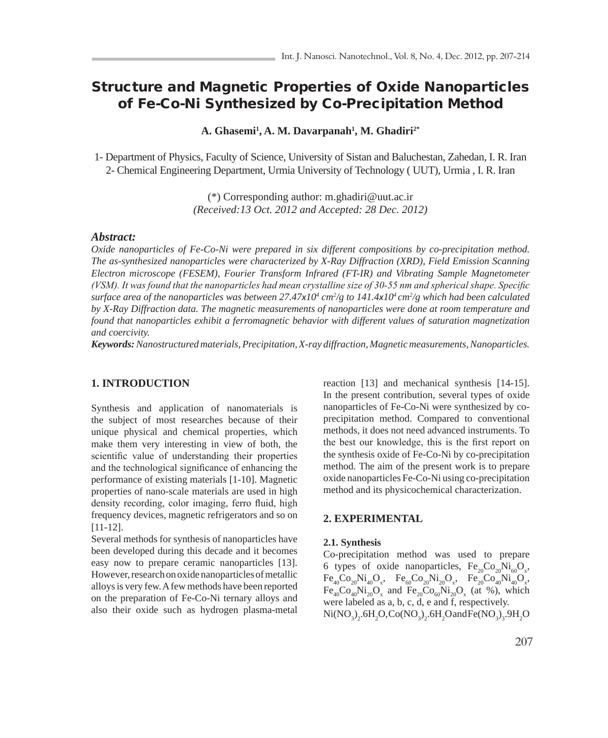# Structure and Magnetic Properties of Oxide Nanoparticles of Fe-Co-Ni Synthesized by Co-Precipitation Method

**A. Ghasemi1 , A. M. Davarpanah1 , M. Ghadiri2\***

1- Department of Physics, Faculty of Science, University of Sistan and Baluchestan, Zahedan, I. R. Iran 2- Chemical Engineering Department, Urmia University of Technology ( UUT), Urmia , I. R. Iran

> (\*) Corresponding author: m.ghadiri@uut.ac.ir *(Received:13 Oct. 2012 and Accepted: 28 Dec. 2012)*

## *Abstract:*

*Oxide nanoparticles of Fe-Co-Ni were prepared in six different compositions by co-precipitation method. The as-synthesized nanoparticles were characterized by X-Ray Diffraction (XRD), Field Emission Scanning Electron microscope (FESEM), Fourier Transform Infrared (FT-IR) and Vibrating Sample Magnetometer (VSM). It was found that the nanoparticles had mean crystalline size of 30-55 nm and spherical shape. Specific surface area of the nanoparticles was between 27.47x10<sup>4</sup> cm<sup>2</sup>/g to 141.4x10<sup>4</sup> cm<sup>2</sup>/g which had been calculated by X-Ray Diffraction data. The magnetic measurements of nanoparticles were done at room temperature and found that nanoparticles exhibit a ferromagnetic behavior with different values of saturation magnetization and coercivity.*

*Keywords: Nanostructured materials, Precipitation, X-ray diffraction, Magnetic measurements, Nanoparticles.*

## **1. INTRODUCTION**

Synthesis and application of nanomaterials is the subject of most researches because of their unique physical and chemical properties, which make them very interesting in view of both, the scientific value of understanding their properties and the technological significance of enhancing the performance of existing materials [1-10]. Magnetic properties of nano-scale materials are used in high density recording, color imaging, ferro fluid, high frequency devices, magnetic refrigerators and so on [11-12].

Several methods for synthesis of nanoparticles have been developed during this decade and it becomes easy now to prepare ceramic nanoparticles [13]. However, research on oxide nanoparticles of metallic alloys is very few. A few methods have been reported on the preparation of Fe-Co-Ni ternary alloys and also their oxide such as hydrogen plasma-metal

reaction [13] and mechanical synthesis [14-15]. In the present contribution, several types of oxide nanoparticles of Fe-Co-Ni were synthesized by coprecipitation method. Compared to conventional methods, it does not need advanced instruments. To the best our knowledge, this is the first report on the synthesis oxide of Fe-Co-Ni by co-precipitation method. The aim of the present work is to prepare oxide nanoparticles Fe-Co-Ni using co-precipitation method and its physicochemical characterization.

### **2. EXPERIMENTAL**

#### **2.1. Synthesis**

Co-precipitation method was used to prepare 6 types of oxide nanoparticles,  $Fe_{20}Co_{20}Ni_{60}O_x$ ,  $\text{Fe}_{40}\text{Co}_{20}\text{Ni}_{40}\text{O}_{x}$ ,  $\text{Fe}_{60}\text{Co}_{20}\text{Ni}_{20}\text{O}_{x}$ ,  $\text{Fe}_{20}\text{Co}_{40}\text{Ni}_{40}\text{O}_{x}$ ,  $Fe_{40}Co_{40}Ni_{20}O_x$  and  $Fe_{20}Co_{60}Ni_{20}O_x$  (at %), which were labeled as a, b, c, d, e and f, respectively.  $Ni(NO<sub>3</sub>)<sub>2</sub>$ .6H<sub>2</sub>O,Co(NO<sub>3</sub>)<sub>2</sub>.6H<sub>2</sub>O and Fe(NO<sub>3</sub>)<sub>3</sub>.9H<sub>2</sub>O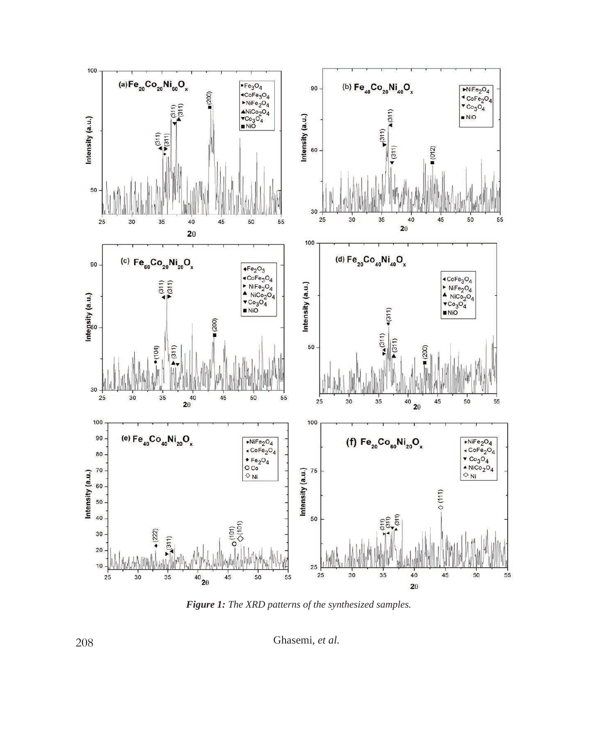

*Figure 1: The XRD patterns of the synthesized samples.*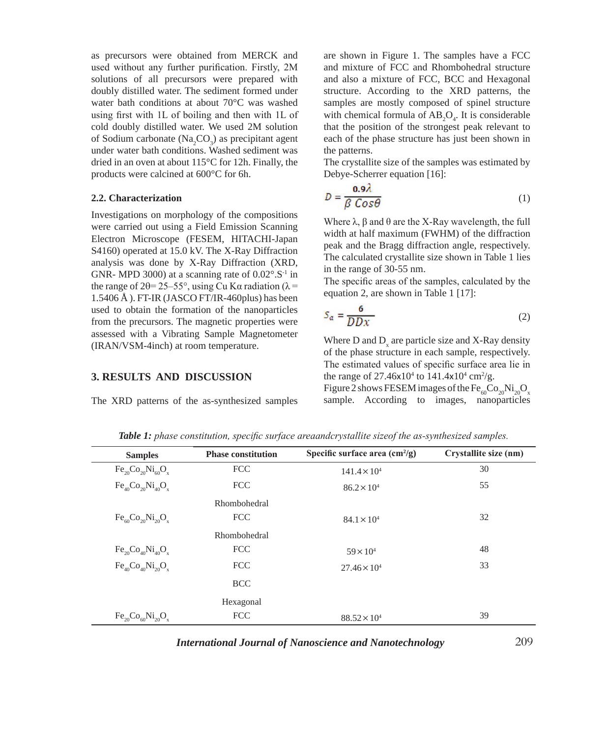as precursors were obtained from MERCK and used without any further purification. Firstly, 2M solutions of all precursors were prepared with doubly distilled water. The sediment formed under water bath conditions at about 70°C was washed using first with 1L of boiling and then with 1L of cold doubly distilled water. We used 2M solution of Sodium carbonate  $(Na_2CO_3)$  as precipitant agent under water bath conditions. Washed sediment was dried in an oven at about 115°C for 12h. Finally, the products were calcined at 600°C for 6h.

### **2.2. Characterization**

Investigations on morphology of the compositions were carried out using a Field Emission Scanning Electron Microscope (FESEM, HITACHI-Japan S4160) operated at 15.0 kV. The X-Ray Diffraction analysis was done by X-Ray Diffraction (XRD, GNR- MPD 3000) at a scanning rate of  $0.02^{\circ}$ . S<sup>-1</sup> in the range of  $2\theta = 25-55^{\circ}$ , using Cu K $\alpha$  radiation ( $\lambda =$  $1.5406 \text{ Å}$ ). FT-IR (JASCO FT/IR-460 plus) has been used to obtain the formation of the nanoparticles from the precursors. The magnetic properties were assessed with a Vibrating Sample Magnetometer (IRAN/VSM-4inch) at room temperature.

## **3. RESULTS AND DISCUSSION**

The XRD patterns of the as-synthesized samples

are shown in Figure 1. The samples have a FCC and mixture of FCC and Rhombohedral structure and also a mixture of FCC, BCC and Hexagonal structure. According to the XRD patterns, the samples are mostly composed of spinel structure with chemical formula of  $AB_2O_4$ . It is considerable that the position of the strongest peak relevant to each of the phase structure has just been shown in the patterns.

The crystallite size of the samples was estimated by Debye-Scherrer equation [16]:

$$
D = \frac{0.9\lambda}{\beta \cos \theta} \tag{1}
$$

Where  $λ$ ,  $β$  and  $θ$  are the X-Ray wavelength, the full width at half maximum (FWHM) of the diffraction peak and the Bragg diffraction angle, respectively. The calculated crystallite size shown in Table 1 lies in the range of 30-55 nm.

The specific areas of the samples, calculated by the equation 2, are shown in Table 1 [17]:

$$
S_a = \frac{6}{DDx} \tag{2}
$$

Where D and  $D_x$  are particle size and X-Ray density of the phase structure in each sample, respectively. The estimated values of specific surface area lie in the range of 27.46x10<sup>4</sup> to 141.4x10<sup>4</sup> cm<sup>2</sup>/g.

Figure 2 shows FESEM images of the  $Fe<sub>60</sub>Co<sub>20</sub>Ni<sub>20</sub>O<sub>x</sub>$ sample. According to images, nanoparticles

| <b>Samples</b>             | <b>Phase constitution</b> | Specific surface area $\text{(cm}^2\text{/g)}$ | Crystallite size (nm) |
|----------------------------|---------------------------|------------------------------------------------|-----------------------|
| $Fe_{20}Co_{20}Ni_{60}O_x$ | <b>FCC</b>                | $141.4 \times 10^{4}$                          | 30                    |
| $Fe_{40}Co_{20}Ni_{40}O_x$ | <b>FCC</b>                | $86.2 \times 10^{4}$                           | 55                    |
|                            | Rhombohedral              |                                                |                       |
| $Fe_{60}Co_{20}Ni_{20}O_x$ | <b>FCC</b>                | $84.1 \times 10^{4}$                           | 32                    |
|                            | Rhombohedral              |                                                |                       |
| $Fe_{20}Co_{40}Ni_{40}O_x$ | <b>FCC</b>                | $59 \times 10^{4}$                             | 48                    |
| $Fe_{40}Co_{40}Ni_{20}O_x$ | <b>FCC</b>                | $27.46 \times 10^4$                            | 33                    |
|                            | <b>BCC</b>                |                                                |                       |
|                            | Hexagonal                 |                                                |                       |
| $Fe_{20}Co_{60}Ni_{20}O_x$ | <b>FCC</b>                | $88.52 \times 10^{4}$                          | 39                    |

*Table 1: phase constitution, specific surface areaandcrystallite sizeof the as-synthesized samples.*

*International Journal of Nanoscience and Nanotechnology*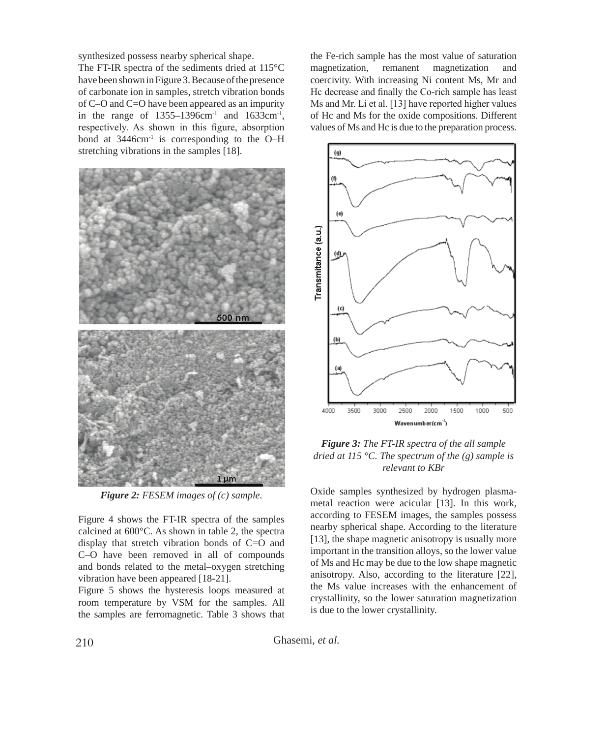synthesized possess nearby spherical shape.

The FT-IR spectra of the sediments dried at 115°C have been shown in Figure 3. Because of the presence of carbonate ion in samples, stretch vibration bonds of C–O and C=O have been appeared as an impurity in the range of  $1355-1396$ cm<sup>-1</sup> and  $1633$ cm<sup>-1</sup>, respectively. As shown in this figure, absorption bond at  $3446 \text{cm}^{-1}$  is corresponding to the O–H stretching vibrations in the samples [18].



*Figure 2: FESEM images of (c) sample.*

Figure 4 shows the FT-IR spectra of the samples calcined at 600°C. As shown in table 2, the spectra display that stretch vibration bonds of C=O and C–O have been removed in all of compounds and bonds related to the metal–oxygen stretching vibration have been appeared [18-21].

Figure 5 shows the hysteresis loops measured at room temperature by VSM for the samples. All the samples are ferromagnetic. Table 3 shows that the Fe-rich sample has the most value of saturation magnetization, remanent magnetization and coercivity. With increasing Ni content Ms, Mr and Hc decrease and finally the Co-rich sample has least Ms and Mr. Li et al. [13] have reported higher values of Hc and Ms for the oxide compositions. Different values of Ms and Hc is due to the preparation process.



*Figure 3: The FT-IR spectra of the all sample dried at 115 °C. The spectrum of the (g) sample is relevant to KBr*

Oxide samples synthesized by hydrogen plasmametal reaction were acicular [13]. In this work, according to FESEM images, the samples possess nearby spherical shape. According to the literature [13], the shape magnetic anisotropy is usually more important in the transition alloys, so the lower value of Ms and Hc may be due to the low shape magnetic anisotropy. Also, according to the literature [22], the Ms value increases with the enhancement of crystallinity, so the lower saturation magnetization is due to the lower crystallinity.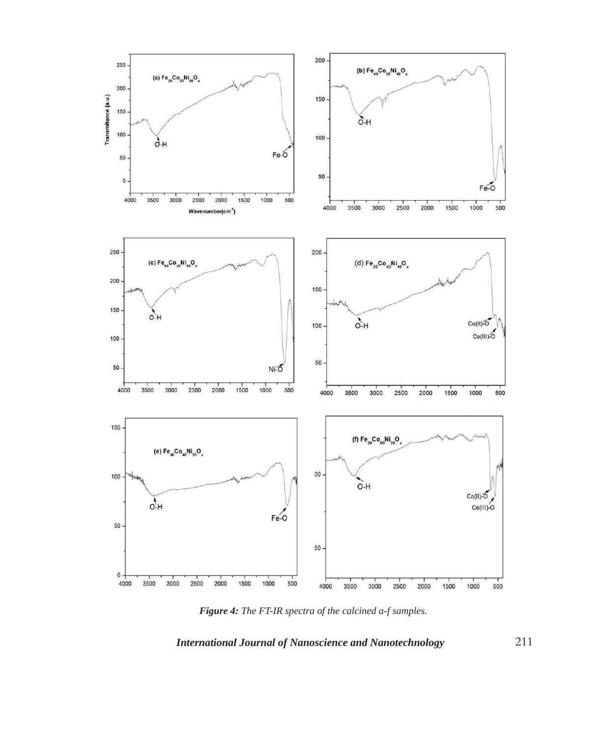

Figure 4: The FT-IR spectra of the calcined a-f samples.

*International Journal of Nanoscience and Nanotechnology*

211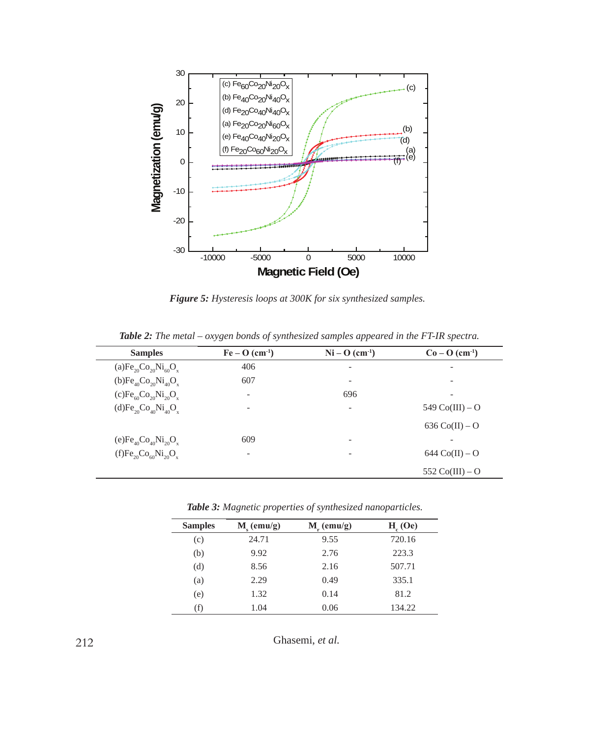

*Figure 5: Hysteresis loops at 300K for six synthesized samples.*

| <b>Samples</b>                                                       | $Fe-O$ (cm <sup>-1</sup> ) | $Ni - O (cm-1)$ | $Co-O (cm-1)$            |
|----------------------------------------------------------------------|----------------------------|-----------------|--------------------------|
| (a) $\text{Fe}_{20}\text{Co}_{20}\text{Ni}_{60}\text{O}_{x}$         | 406                        | ۰               | -                        |
| (b)Fe <sub>40</sub> Co <sub>20</sub> Ni <sub>40</sub> O <sub>x</sub> | 607                        | ۰               |                          |
| $(c)Fe_{60}Co_{20}Ni_{20}O_x$                                        |                            | 696             | -                        |
| $(d)Fe_{20}Co_{40}Ni_{40}O_x$                                        |                            | -               | 549 $Co(III) - O$        |
|                                                                      |                            |                 | $636 \text{ Co(II)} - O$ |
| (e)Fe <sub>40</sub> Co <sub>40</sub> Ni <sub>20</sub> O <sub>x</sub> | 609                        | ۰               |                          |
| $(f)Fe_{20}Co_{60}Ni_{20}O_x$                                        |                            |                 | $644 \text{ Co(II)} - O$ |
|                                                                      |                            |                 | 552 $Co(III) - O$        |

*Table 2: The metal – oxygen bonds of synthesized samples appeared in the FT-IR spectra.*

*Table 3: Magnetic properties of synthesized nanoparticles.*

| <b>Samples</b> | $M_{\rm c}$ (emu/g) | $M_r$ (emu/g) | H <sub>c</sub> (Oe) |
|----------------|---------------------|---------------|---------------------|
| (c)            | 24.71               | 9.55          | 720.16              |
| (b)            | 9.92                | 2.76          | 223.3               |
| (d)            | 8.56                | 2.16          | 507.71              |
| (a)            | 2.29                | 0.49          | 335.1               |
| (e)            | 1.32                | 0.14          | 81.2                |
| (f)            | 1.04                | 0.06          | 134.22              |